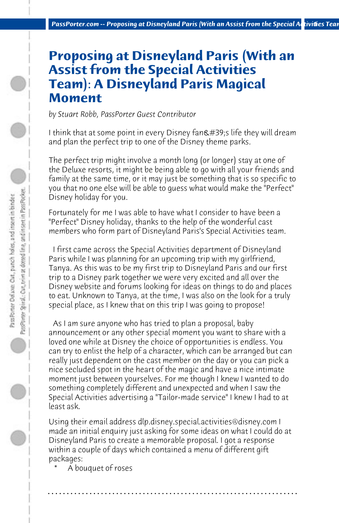## **Proposing at Disneyland Paris (With an Assist from the Special Activities Team): A Disneyland Paris Magical Moment**

*by Stuart Robb, PassPorter Guest Contributor*

I think that at some point in every Disney fan's life they will dream and plan the perfect trip to one of the Disney theme parks.

The perfect trip might involve a month long (or longer) stay at one of the Deluxe resorts, it might be being able to go with all your friends and family at the same time, or it may just be something that is so specific to you that no one else will be able to guess what would make the "Perfect" Disney holiday for you.

Fortunately for me I was able to have what I consider to have been a "Perfect" Disney holiday, thanks to the help of the wonderful cast members who form part of Disneyland Paris's Special Activities team.

 I first came across the Special Activities department of Disneyland Paris while I was planning for an upcoming trip with my girlfriend, Tanya. As this was to be my first trip to Disneyland Paris and our first trip to a Disney park together we were very excited and all over the Disney website and forums looking for ideas on things to do and places to eat. Unknown to Tanya, at the time, I was also on the look for a truly special place, as I knew that on this trip I was going to propose!

 As I am sure anyone who has tried to plan a proposal, baby announcement or any other special moment you want to share with a loved one while at Disney the choice of opportunities is endless. You can try to enlist the help of a character, which can be arranged but can really just dependent on the cast member on the day or you can pick a nice secluded spot in the heart of the magic and have a nice intimate moment just between yourselves. For me though I knew I wanted to do something completely different and unexpected and when I saw the Special Activities advertising a "Tailor-made service" I knew I had to at least ask.

Using their email address dlp.disney.special.activities@disney.com I made an initial enquiry just asking for some ideas on what I could do at Disneyland Paris to create a memorable proposal. I got a response within a couple of days which contained a menu of different gift packages: 

**. . . . . . . . . . . . . . . . . . . . . . . . . . . . . . . . . . . . . . . . . . . . . . . . . . . . . . . . . . . . . . . . . .**

A bouquet of roses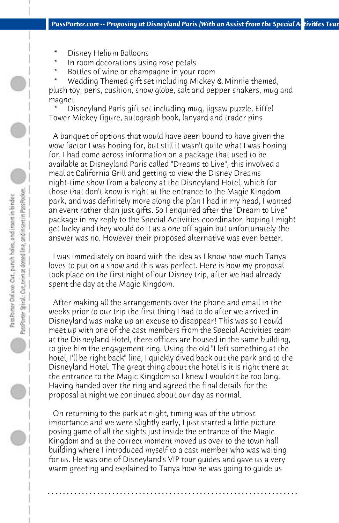- Disney Helium Balloons
- In room decorations using rose petals
- Bottles of wine or champagne in your room

Wedding Themed gift set including Mickey & Minnie themed, plush toy, pens, cushion, snow globe, salt and pepper shakers, mug and magnet 

Disneyland Paris gift set including mug, jigsaw puzzle, Eiffel Tower Mickey figure, autograph book, lanyard and trader pins

 A banquet of options that would have been bound to have given the wow factor I was hoping for, but still it wasn't quite what I was hoping for. I had come across information on a package that used to be available at Disneyland Paris called "Dreams to Live", this involved a meal at California Grill and getting to view the Disney Dreams night-time show from a balcony at the Disneyland Hotel, which for those that don't know is right at the entrance to the Magic Kingdom park, and was definitely more along the plan I had in my head, I wanted an event rather than just gifts. So I enquired after the "Dream to Live" package in my reply to the Special Activities coordinator, hoping I might get lucky and they would do it as a one off again but unfortunately the answer was no. However their proposed alternative was even better.

 I was immediately on board with the idea as I know how much Tanya loves to put on a show and this was perfect. Here is how my proposal took place on the first night of our Disney trip, after we had already spent the day at the Magic Kingdom.

 After making all the arrangements over the phone and email in the weeks prior to our trip the first thing I had to do after we arrived in Disneyland was make up an excuse to disappear! This was so I could meet up with one of the cast members from the Special Activities team at the Disneyland Hotel, there offices are housed in the same building, to give him the engagement ring. Using the old "I left something at the hotel, I'll be right back" line, I quickly dived back out the park and to the Disneyland Hotel. The great thing about the hotel is it is right there at the entrance to the Magic Kingdom so I knew I wouldn't be too long. Having handed over the ring and agreed the final details for the proposal at night we continued about our day as normal.

 On returning to the park at night, timing was of the utmost importance and we were slightly early, I just started a little picture posing game of all the sights just inside the entrance of the Magic Kingdom and at the correct moment moved us over to the town hall building where I introduced myself to a cast member who was waiting for us. He was one of Disneyland's VIP tour guides and gave us a very warm greeting and explained to Tanya how he was going to guide us

**. . . . . . . . . . . . . . . . . . . . . . . . . . . . . . . . . . . . . . . . . . . . . . . . . . . . . . . . . . . . . . . . . .**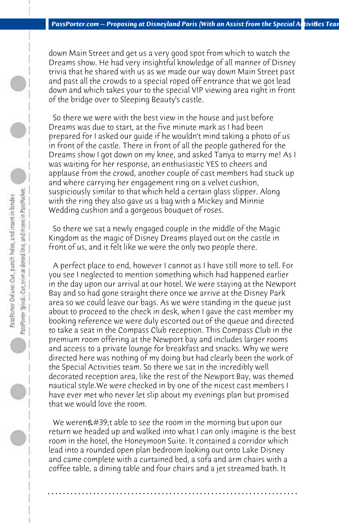down Main Street and get us a very good spot from which to watch the Dreams show. He had very insightful knowledge of all manner of Disney trivia that he shared with us as we made our way down Main Street past and past all the crowds to a special roped off entrance that we got lead down and which takes your to the special VIP viewing area right in front of the bridge over to Sleeping Beauty's castle.

 So there we were with the best view in the house and just before Dreams was due to start, at the five minute mark as I had been prepared for I asked our guide if he wouldn't mind taking a photo of us in front of the castle. There in front of all the people gathered for the Dreams show I got down on my knee, and asked Tanya to marry me! As I was waiting for her response, an enthusiastic YES to cheers and applause from the crowd, another couple of cast members had stuck up and where carrying her engagement ring on a velvet cushion, suspiciously similar to that which held a certain glass slipper. Along with the ring they also gave us a bag with a Mickey and Minnie Wedding cushion and a gorgeous bouquet of roses.

 So there we sat a newly engaged couple in the middle of the Magic Kingdom as the magic of Disney Dreams played out on the castle in front of us, and it felt like we were the only two people there.

 A perfect place to end, however I cannot as I have still more to tell. For you see I neglected to mention something which had happened earlier in the day upon our arrival at our hotel. We were staying at the Newport Bay and so had gone straight there once we arrive at the Disney Park area so we could leave our bags. As we were standing in the queue just about to proceed to the check in desk, when I gave the cast member my booking reference we were duly escorted out of the queue and directed to take a seat in the Compass Club reception. This Compass Club in the premium room offering at the Newport bay and includes larger rooms and access to a private lounge for breakfast and snacks. Why we were directed here was nothing of my doing but had clearly been the work of the Special Activities team. So there we sat in the incredibly well decorated reception area, like the rest of the Newport Bay, was themed nautical style.We were checked in by one of the nicest cast members I have ever met who never let slip about my evenings plan but promised that we would love the room.

We weren $\&\#39$ ; t able to see the room in the morning but upon our return we headed up and walked into what I can only imagine is the best room in the hotel, the Honeymoon Suite. It contained a corridor which lead into a rounded open plan bedroom looking out onto Lake Disney and came complete with a curtained bed, a sofa and arm chairs with a coffee table, a dining table and four chairs and a jet streamed bath. It

**. . . . . . . . . . . . . . . . . . . . . . . . . . . . . . . . . . . . . . . . . . . . . . . . . . . . . . . . . . . . . . . . . .**